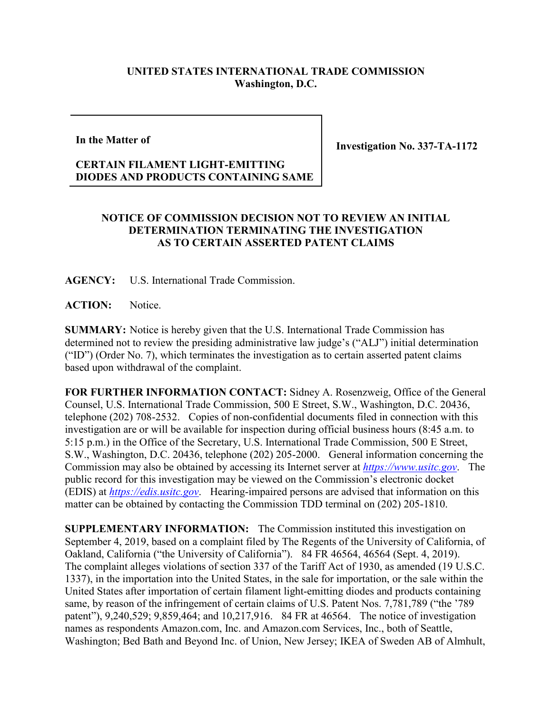## **UNITED STATES INTERNATIONAL TRADE COMMISSION Washington, D.C.**

**In the Matter of**

**Investigation No. 337-TA-1172**

## **CERTAIN FILAMENT LIGHT-EMITTING DIODES AND PRODUCTS CONTAINING SAME**

## **NOTICE OF COMMISSION DECISION NOT TO REVIEW AN INITIAL DETERMINATION TERMINATING THE INVESTIGATION AS TO CERTAIN ASSERTED PATENT CLAIMS**

**AGENCY:** U.S. International Trade Commission.

ACTION: Notice.

**SUMMARY:** Notice is hereby given that the U.S. International Trade Commission has determined not to review the presiding administrative law judge's ("ALJ") initial determination ("ID") (Order No. 7), which terminates the investigation as to certain asserted patent claims based upon withdrawal of the complaint.

**FOR FURTHER INFORMATION CONTACT:** Sidney A. Rosenzweig, Office of the General Counsel, U.S. International Trade Commission, 500 E Street, S.W., Washington, D.C. 20436, telephone (202) 708-2532. Copies of non-confidential documents filed in connection with this investigation are or will be available for inspection during official business hours (8:45 a.m. to 5:15 p.m.) in the Office of the Secretary, U.S. International Trade Commission, 500 E Street, S.W., Washington, D.C. 20436, telephone (202) 205-2000. General information concerning the Commission may also be obtained by accessing its Internet server at *[https://www.usitc.gov](https://www.usitc.gov/)*. The public record for this investigation may be viewed on the Commission's electronic docket (EDIS) at *[https://edis.usitc.gov](https://edis.usitc.gov/)*. Hearing-impaired persons are advised that information on this matter can be obtained by contacting the Commission TDD terminal on (202) 205-1810.

**SUPPLEMENTARY INFORMATION:** The Commission instituted this investigation on September 4, 2019, based on a complaint filed by The Regents of the University of California, of Oakland, California ("the University of California"). 84 FR 46564, 46564 (Sept. 4, 2019). The complaint alleges violations of section 337 of the Tariff Act of 1930, as amended (19 U.S.C. 1337), in the importation into the United States, in the sale for importation, or the sale within the United States after importation of certain filament light-emitting diodes and products containing same, by reason of the infringement of certain claims of U.S. Patent Nos. 7,781,789 ("the '789 patent"), 9,240,529; 9,859,464; and 10,217,916. 84 FR at 46564. The notice of investigation names as respondents Amazon.com, Inc. and Amazon.com Services, Inc., both of Seattle, Washington; Bed Bath and Beyond Inc. of Union, New Jersey; IKEA of Sweden AB of Almhult,